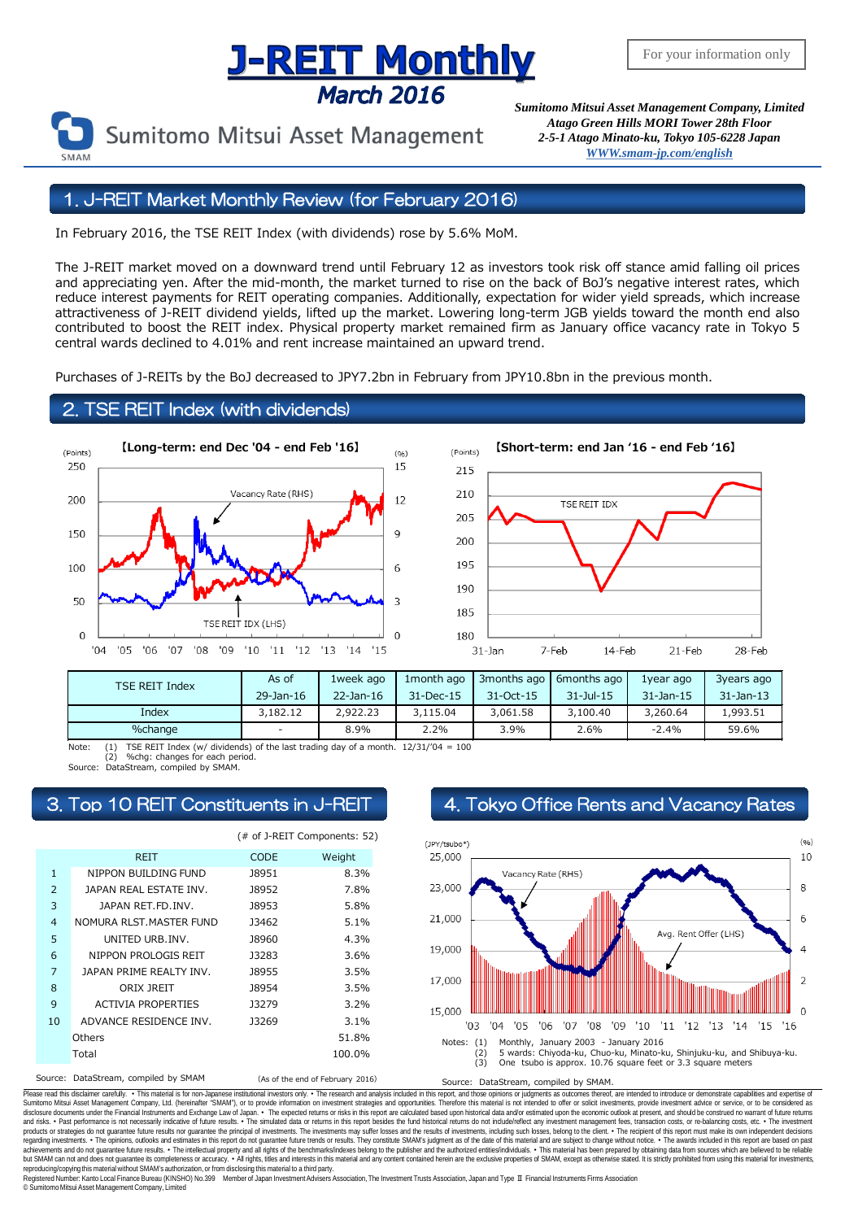# **Supering The Supering Concept Convention Conservance Conservance March 2016**<br>March 2016 *Sumitomo Mitsui Asset Management Company, Limited*

*Atago Green Hills MORI Tower 28th Floor 2-5-1 Atago Minato-ku, Tokyo 105-6228 Japa[n](mailto:English@smam-jp.com) [WWW.smam-jp.com/english](http://www.smam-jp.com/english)*

#### 1. J-REIT Market Monthly Review (for February 2016)

In February 2016, the TSE REIT Index (with dividends) rose by 5.6% MoM.

The J-REIT market moved on a downward trend until February 12 as investors took risk off stance amid falling oil prices and appreciating yen. After the mid-month, the market turned to rise on the back of BoJ's negative interest rates, which reduce interest payments for REIT operating companies. Additionally, expectation for wider yield spreads, which increase attractiveness of J-REIT dividend yields, lifted up the market. Lowering long-term JGB yields toward the month end also contributed to boost the REIT index. Physical property market remained firm as January office vacancy rate in Tokyo 5 central wards declined to 4.01% and rent increase maintained an upward trend.

Purchases of J-REITs by the BoJ decreased to JPY7.2bn in February from JPY10.8bn in the previous month.

#### 2. TSE REIT Index (with dividends)





| <b>TSE REIT Index</b> | As of     | 1week ago    | 1 month ago | 3months ago     | 6months ago    | 1year ago       | 3years ago      |
|-----------------------|-----------|--------------|-------------|-----------------|----------------|-----------------|-----------------|
|                       | 29-Jan-16 | $22$ -Jan-16 | 31-Dec-15   | $31 - Oct - 15$ | $31 - 3u - 15$ | $31 - Jan - 15$ | $31 - Jan - 13$ |
| Index                 | 3,182.12  | 2,922,23     | 3,115.04    | 3,061.58        | 3,100.40       | 3,260.64        | 1,993.51        |
| %change               | $\sim$    | 8.9%         | 2.2%        | 3.9%            | 2.6%           | $-2.4%$         | 59.6%           |

(1) TSE REIT Index (w/ dividends) of the last trading day of a month.  $12/31/704 = 100$ <br>(2) %chg: changes for each period. %chg: changes for each period.

Source: DataStream, compiled by SMAM.

|                |                              | (# of J-REIT Components: 52) |                                  |  |
|----------------|------------------------------|------------------------------|----------------------------------|--|
|                | <b>REIT</b>                  | <b>CODE</b>                  | Weight                           |  |
| $\mathbf{1}$   | NIPPON BUILDING FUND         | J8951                        | 8.3%                             |  |
| $\overline{2}$ | JAPAN REAL ESTATE INV.       | <b>J8952</b>                 | 7.8%                             |  |
| 3              | JAPAN RET.FD. INV.           | <b>J8953</b>                 | 5.8%                             |  |
| $\overline{4}$ | NOMURA RLST.MASTER FUND      | 13462                        | $5.1\%$                          |  |
| 5              | UNITED URB.INV.              | <b>J8960</b>                 | 4.3%                             |  |
| 6              | NIPPON PROLOGIS REIT         | <b>J3283</b>                 | 3.6%                             |  |
| 7              | JAPAN PRIME REALTY INV.      | <b>J8955</b>                 | 3.5%                             |  |
| 8              | ORIX JREIT                   | <b>J8954</b>                 | 3.5%                             |  |
| 9              | <b>ACTIVIA PROPERTIES</b>    | 13279                        | 3.2%                             |  |
| 10             | ADVANCE RESIDENCE INV.       | <b>J3269</b>                 | 3.1%                             |  |
|                | Others                       |                              | 51.8%                            |  |
|                | Total                        |                              | 100.0%                           |  |
| Source:        | DataStream, compiled by SMAM |                              | (As of the end of February 2016) |  |

## 3. Top 10 REIT Constituents in J-REIT 4. Tokyo Office Rents and Vacancy Rates



Please read this disclaimer carefuly. • This material is for non-Japanese institutional investors only. • The research and analysis included in this report, and those opinions or judgments as outcomes thereof, are intended disclosure documents under the Financial Instruments and Exchange Law of Japan. • The expected relums or risks in this report are calculated based upon historial data and/or estimated upon the economic outlook at present, products or strategies do not guarantee future results nor guarantee the principal of investments. The investments may suffer losses and the results of investments, including such losses, belong to the client. . The recipi regarding investments. • The opinions, outlooks and estimates in this report do not guarantee future trends or results. They constitute SMAM's judgment as of the date of this material and are subject to change without noti reproducing/copying this material without SMAM's authorization, or from disclosing thismaterial to a third party.

egistered Number: Kanto Local Finance Bureau (KINSHO) No.399 Member of Japan Investment Advisers Association, The Investment Trusts Association, Japan and Type Ⅱ Financial Instruments Firms Association

© SumitomoMitsui Asset Management Company, Limited